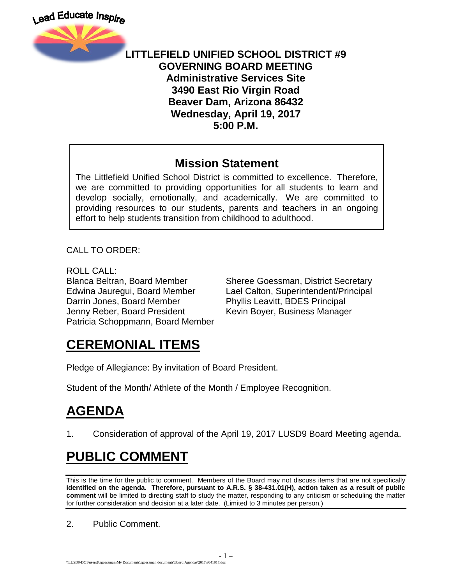

#### **LITTLEFIELD UNIFIED SCHOOL DISTRICT #9 GOVERNING BOARD MEETING Administrative Services Site 3490 East Rio Virgin Road Beaver Dam, Arizona 86432 Wednesday, April 19, 2017 5:00 P.M.**

#### **Mission Statement**

The Littlefield Unified School District is committed to excellence. Therefore, we are committed to providing opportunities for all students to learn and develop socially, emotionally, and academically. We are committed to providing resources to our students, parents and teachers in an ongoing effort to help students transition from childhood to adulthood.

CALL TO ORDER:

ROLL CALL: Darrin Jones, Board Member Phyllis Leavitt, BDES Principal Jenny Reber, Board President Kevin Boyer, Business Manager Patricia Schoppmann, Board Member

Blanca Beltran, Board Member Sheree Goessman, District Secretary Edwina Jauregui, Board Member Lael Calton, Superintendent/Principal

## **CEREMONIAL ITEMS**

Pledge of Allegiance: By invitation of Board President.

Student of the Month/ Athlete of the Month / Employee Recognition.

# **AGENDA**

1. Consideration of approval of the April 19, 2017 LUSD9 Board Meeting agenda.

# **PUBLIC COMMENT**

This is the time for the public to comment. Members of the Board may not discuss items that are not specifically **identified on the agenda. Therefore, pursuant to A.R.S. § 38-431.01(H), action taken as a result of public comment** will be limited to directing staff to study the matter, responding to any criticism or scheduling the matter for further consideration and decision at a later date. (Limited to 3 minutes per person.)

2. Public Comment.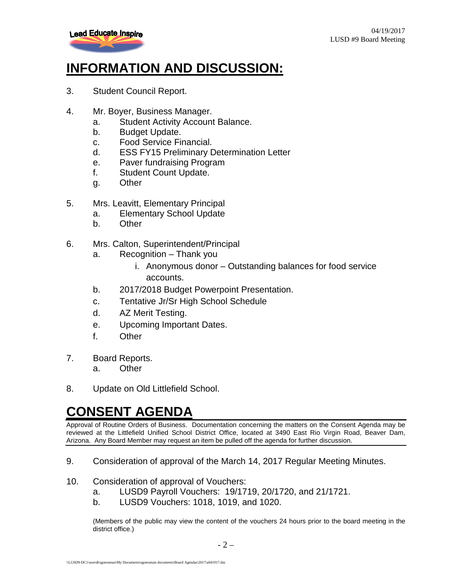

### **INFORMATION AND DISCUSSION:**

- 3. Student Council Report.
- 4. Mr. Boyer, Business Manager.
	- a. Student Activity Account Balance.
	- b. Budget Update.
	- c. Food Service Financial.
	- d. ESS FY15 Preliminary Determination Letter
	- e. Paver fundraising Program
	- f. Student Count Update.
	- g. Other
- 5. Mrs. Leavitt, Elementary Principal
	- a. Elementary School Update
	- b. Other
- 6. Mrs. Calton, Superintendent/Principal
	- a. Recognition Thank you
		- i. Anonymous donor Outstanding balances for food service accounts.
	- b. 2017/2018 Budget Powerpoint Presentation.
	- c. Tentative Jr/Sr High School Schedule
	- d. AZ Merit Testing.
	- e. Upcoming Important Dates.
	- f. Other
- 7. Board Reports.
	- a. Other
- 8. Update on Old Littlefield School.

#### **CONSENT AGENDA**

Approval of Routine Orders of Business. Documentation concerning the matters on the Consent Agenda may be reviewed at the Littlefield Unified School District Office, located at 3490 East Rio Virgin Road, Beaver Dam, Arizona. Any Board Member may request an item be pulled off the agenda for further discussion.

- 9. Consideration of approval of the March 14, 2017 Regular Meeting Minutes.
- 10. Consideration of approval of Vouchers:
	- a. LUSD9 Payroll Vouchers: 19/1719, 20/1720, and 21/1721.
	- b. LUSD9 Vouchers: 1018, 1019, and 1020.

(Members of the public may view the content of the vouchers 24 hours prior to the board meeting in the district office.)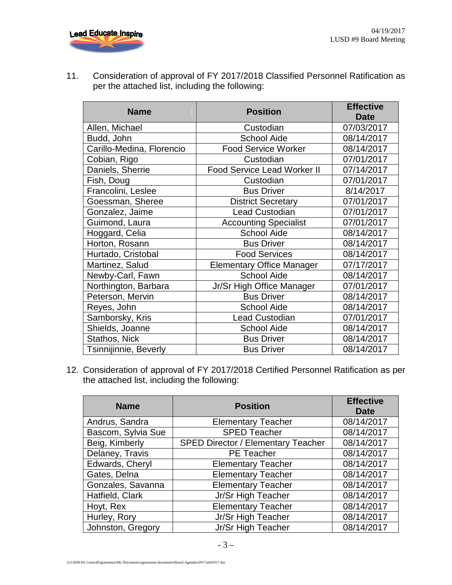

11. Consideration of approval of FY 2017/2018 Classified Personnel Ratification as per the attached list, including the following:

| <b>Name</b>               | <b>Position</b>                    | <b>Effective</b><br><b>Date</b> |
|---------------------------|------------------------------------|---------------------------------|
| Allen, Michael            | Custodian                          | 07/03/2017                      |
| Budd, John                | <b>School Aide</b>                 | 08/14/2017                      |
|                           |                                    |                                 |
| Carillo-Medina, Florencio | <b>Food Service Worker</b>         | 08/14/2017                      |
| Cobian, Rigo              | Custodian                          | 07/01/2017                      |
| Daniels, Sherrie          | <b>Food Service Lead Worker II</b> | 07/14/2017                      |
| Fish, Doug                | Custodian                          | 07/01/2017                      |
| Francolini, Leslee        | <b>Bus Driver</b>                  | 8/14/2017                       |
| Goessman, Sheree          | <b>District Secretary</b>          | 07/01/2017                      |
| Gonzalez, Jaime           | <b>Lead Custodian</b>              | 07/01/2017                      |
| Guimond, Laura            | <b>Accounting Specialist</b>       | 07/01/2017                      |
| Hoggard, Celia            | <b>School Aide</b>                 | 08/14/2017                      |
| Horton, Rosann            | <b>Bus Driver</b>                  | 08/14/2017                      |
| Hurtado, Cristobal        | <b>Food Services</b>               | 08/14/2017                      |
| Martinez, Salud           | <b>Elementary Office Manager</b>   | 07/17/2017                      |
| Newby-Carl, Fawn          | <b>School Aide</b>                 | 08/14/2017                      |
| Northington, Barbara      | Jr/Sr High Office Manager          | 07/01/2017                      |
| Peterson, Mervin          | <b>Bus Driver</b>                  | 08/14/2017                      |
| Reyes, John               | <b>School Aide</b>                 | 08/14/2017                      |
| Samborsky, Kris           | <b>Lead Custodian</b>              | 07/01/2017                      |
| Shields, Joanne           | <b>School Aide</b>                 | 08/14/2017                      |
| Stathos, Nick             | <b>Bus Driver</b>                  | 08/14/2017                      |
| Tsinnijinnie, Beverly     | <b>Bus Driver</b>                  | 08/14/2017                      |

12. Consideration of approval of FY 2017/2018 Certified Personnel Ratification as per the attached list, including the following:

| <b>Name</b>        | <b>Position</b>                           | <b>Effective</b><br><b>Date</b> |
|--------------------|-------------------------------------------|---------------------------------|
| Andrus, Sandra     | <b>Elementary Teacher</b>                 | 08/14/2017                      |
| Bascom, Sylvia Sue | <b>SPED Teacher</b>                       | 08/14/2017                      |
| Beig, Kimberly     | <b>SPED Director / Elementary Teacher</b> | 08/14/2017                      |
| Delaney, Travis    | <b>PE Teacher</b>                         | 08/14/2017                      |
| Edwards, Cheryl    | <b>Elementary Teacher</b>                 | 08/14/2017                      |
| Gates, Delna       | <b>Elementary Teacher</b>                 | 08/14/2017                      |
| Gonzales, Savanna  | <b>Elementary Teacher</b>                 | 08/14/2017                      |
| Hatfield, Clark    | Jr/Sr High Teacher                        | 08/14/2017                      |
| Hoyt, Rex          | <b>Elementary Teacher</b>                 | 08/14/2017                      |
| Hurley, Rory       | Jr/Sr High Teacher                        | 08/14/2017                      |
| Johnston, Gregory  | Jr/Sr High Teacher                        | 08/14/2017                      |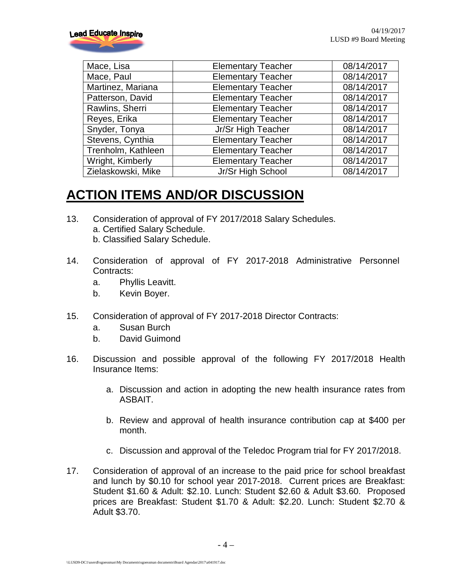| Mace, Lisa         | <b>Elementary Teacher</b> | 08/14/2017 |
|--------------------|---------------------------|------------|
| Mace, Paul         | <b>Elementary Teacher</b> | 08/14/2017 |
| Martinez, Mariana  | <b>Elementary Teacher</b> | 08/14/2017 |
| Patterson, David   | <b>Elementary Teacher</b> | 08/14/2017 |
| Rawlins, Sherri    | <b>Elementary Teacher</b> | 08/14/2017 |
| Reyes, Erika       | <b>Elementary Teacher</b> | 08/14/2017 |
| Snyder, Tonya      | Jr/Sr High Teacher        | 08/14/2017 |
| Stevens, Cynthia   | <b>Elementary Teacher</b> | 08/14/2017 |
| Trenholm, Kathleen | <b>Elementary Teacher</b> | 08/14/2017 |
| Wright, Kimberly   | <b>Elementary Teacher</b> | 08/14/2017 |
| Zielaskowski, Mike | Jr/Sr High School         | 08/14/2017 |

## **ACTION ITEMS AND/OR DISCUSSION**

- 13. Consideration of approval of FY 2017/2018 Salary Schedules. a. Certified Salary Schedule. b. Classified Salary Schedule.
- 14. Consideration of approval of FY 2017-2018 Administrative Personnel Contracts:
	- a. Phyllis Leavitt.
	- b. Kevin Boyer.
- 15. Consideration of approval of FY 2017-2018 Director Contracts:
	- a. Susan Burch
	- b. David Guimond
- 16. Discussion and possible approval of the following FY 2017/2018 Health Insurance Items:
	- a. Discussion and action in adopting the new health insurance rates from ASBAIT.
	- b. Review and approval of health insurance contribution cap at \$400 per month.
	- c. Discussion and approval of the Teledoc Program trial for FY 2017/2018.
- 17. Consideration of approval of an increase to the paid price for school breakfast and lunch by \$0.10 for school year 2017-2018. Current prices are Breakfast: Student \$1.60 & Adult: \$2.10. Lunch: Student \$2.60 & Adult \$3.60. Proposed prices are Breakfast: Student \$1.70 & Adult: \$2.20. Lunch: Student \$2.70 & Adult \$3.70.